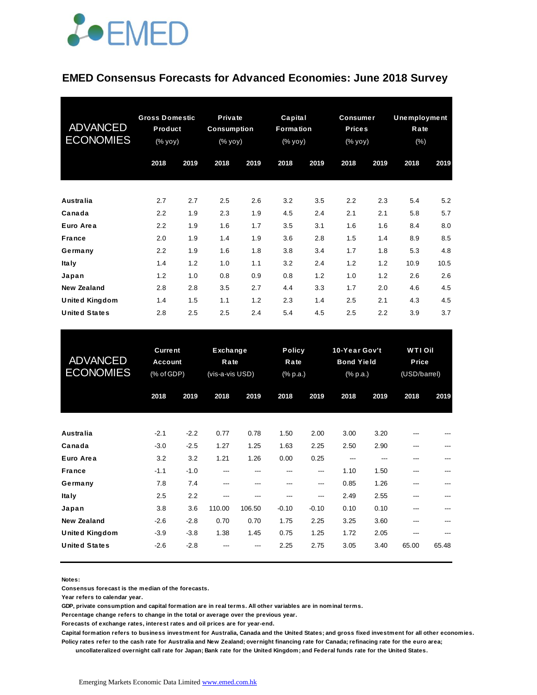

#### **EMED Consensus Forecasts for Advanced Economies: June 2018 Survey**

| <b>ADVANCED</b><br><b>ECONOMIES</b> | <b>Gross Domestic</b><br>Product<br>(% yoy) |      | <b>Private</b><br><b>Consumption</b><br>$(% \mathbf{y}\mathbf{y})$ (% $\mathbf{y}\mathbf{0}\mathbf{y}$ ) |      | Capital<br>Formation<br>$(% \mathbf{y}\mathbf{y})$ (% $\overline{\mathbf{y}}$ $\overline{\mathbf{y}}$ $\overline{\mathbf{y}}$ ) |      | <b>Consumer</b><br><b>Prices</b><br>(% yoy) |      | <b>Unemployment</b><br>Rate<br>$(\%)$ |      |
|-------------------------------------|---------------------------------------------|------|----------------------------------------------------------------------------------------------------------|------|---------------------------------------------------------------------------------------------------------------------------------|------|---------------------------------------------|------|---------------------------------------|------|
|                                     | 2018                                        | 2019 | 2018                                                                                                     | 2019 | 2018                                                                                                                            | 2019 | 2018                                        | 2019 | 2018                                  | 2019 |
| <b>Australia</b>                    | 2.7                                         | 2.7  | 2.5                                                                                                      | 2.6  | 3.2                                                                                                                             | 3.5  | 2.2                                         | 2.3  | 5.4                                   | 5.2  |
| Canada                              | 2.2                                         | 1.9  | 2.3                                                                                                      | 1.9  | 4.5                                                                                                                             | 2.4  | 2.1                                         | 2.1  | 5.8                                   | 5.7  |
| Euro Area                           | 2.2                                         | 1.9  | 1.6                                                                                                      | 1.7  | 3.5                                                                                                                             | 3.1  | 1.6                                         | 1.6  | 8.4                                   | 8.0  |
| <b>France</b>                       | 2.0                                         | 1.9  | 1.4                                                                                                      | 1.9  | 3.6                                                                                                                             | 2.8  | 1.5                                         | 1.4  | 8.9                                   | 8.5  |
| Germany                             | 2.2                                         | 1.9  | 1.6                                                                                                      | 1.8  | 3.8                                                                                                                             | 3.4  | 1.7                                         | 1.8  | 5.3                                   | 4.8  |
| <b>Italy</b>                        | 1.4                                         | 1.2  | 1.0                                                                                                      | 1.1  | 3.2                                                                                                                             | 2.4  | 1.2                                         | 1.2  | 10.9                                  | 10.5 |
| Japan                               | 1.2                                         | 1.0  | 0.8                                                                                                      | 0.9  | 0.8                                                                                                                             | 1.2  | 1.0                                         | 1.2  | 2.6                                   | 2.6  |
| <b>New Zealand</b>                  | 2.8                                         | 2.8  | 3.5                                                                                                      | 2.7  | 4.4                                                                                                                             | 3.3  | 1.7                                         | 2.0  | 4.6                                   | 4.5  |
| <b>United Kingdom</b>               | 1.4                                         | 1.5  | 1.1                                                                                                      | 1.2  | 2.3                                                                                                                             | 1.4  | 2.5                                         | 2.1  | 4.3                                   | 4.5  |
| <b>United States</b>                | 2.8                                         | 2.5  | 2.5                                                                                                      | 2.4  | 5.4                                                                                                                             | 4.5  | 2.5                                         | 2.2  | 3.9                                   | 3.7  |

| <b>United States</b>                        | 2.8                                            | 2.5              | 2.5                                        | 2.4           | 5.4                               | 4.5            | 2.5                                            | 2.2          | 3.9                                     | 3.7   |
|---------------------------------------------|------------------------------------------------|------------------|--------------------------------------------|---------------|-----------------------------------|----------------|------------------------------------------------|--------------|-----------------------------------------|-------|
| <b>ADVANCED</b><br><b>ECONOMIES</b>         | <b>Current</b><br><b>Account</b><br>(% of GDP) |                  | <b>Exchange</b><br>Rate<br>(vis-a-vis USD) |               | <b>Policy</b><br>Rate<br>(% p.a.) |                | 10-Year Gov't<br><b>Bond Yield</b><br>(% p.a.) |              | <b>WTI Oil</b><br>Price<br>(USD/barrel) |       |
|                                             | 2018                                           | 2019             | 2018                                       | 2019          | 2018                              | 2019           | 2018                                           | 2019         | 2018                                    | 2019  |
| Australia                                   | $-2.1$                                         | $-2.2$           | 0.77                                       | 0.78          | 1.50                              | 2.00           | 3.00                                           | 3.20         |                                         |       |
| Canada<br>Euro Area                         | $-3.0$<br>3.2                                  | $-2.5$<br>3.2    | 1.27<br>1.21                               | 1.25<br>1.26  | 1.63<br>0.00                      | 2.25<br>0.25   | 2.50<br>---                                    | 2.90         |                                         |       |
| <b>France</b><br>Germany                    | $-1.1$<br>7.8                                  | $-1.0$<br>7.4    | ---<br>---                                 | ---<br>---    | ---<br>---                        | ---<br>---     | 1.10<br>0.85                                   | 1.50<br>1.26 | ---                                     |       |
| <b>Italy</b><br>Japan                       | 2.5<br>3.8                                     | 2.2<br>3.6       | ---<br>110.00                              | ---<br>106.50 | ---<br>$-0.10$                    | ---<br>$-0.10$ | 2.49<br>0.10                                   | 2.55<br>0.10 |                                         |       |
| <b>New Zealand</b><br><b>United Kingdom</b> | $-2.6$<br>$-3.9$                               | $-2.8$<br>$-3.8$ | 0.70<br>1.38                               | 0.70<br>1.45  | 1.75<br>0.75                      | 2.25<br>1.25   | 3.25<br>1.72                                   | 3.60<br>2.05 | ---                                     |       |
| <b>United States</b>                        | $-2.6$                                         | $-2.8$           |                                            |               | 2.25                              | 2.75           | 3.05                                           | 3.40         | 65.00                                   | 65.48 |

**Notes:** 

**Consensus forecast is the median of the forecasts.**

**Year refers to calendar year.**

**GDP, private consumption and capital formation are in real terms. All other variables are in nominal terms.**

**Percentage change refers to change in the total or average over the previous year.**

**Forecasts of exchange rates, interest rates and oil prices are for year-end.**

**Capital formation refers to business investment for Australia, Canada and the United States; and gross fixed investment for all other economies. Policy rates refer to the cash rate for Australia and New Zealand; overnight financing rate for Canada; refinacing rate for the euro area;** 

 **uncollateralized overnight call rate for Japan; Bank rate for the United Kingdom; and Federal funds rate for the United States.**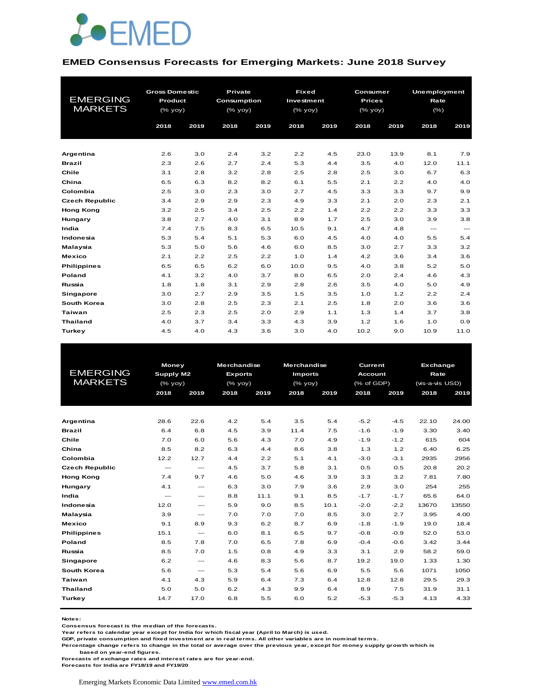

#### **EMED Consensus Forecasts for Emerging Markets: June 2018 Survey**

|                       | <b>Gross Domestic</b> |      | Private            |      | <b>Fixed</b> |      | Consumer      |      | Unemployment |                           |
|-----------------------|-----------------------|------|--------------------|------|--------------|------|---------------|------|--------------|---------------------------|
| <b>EMERGING</b>       | <b>Product</b>        |      | <b>Consumption</b> |      | Investment   |      | <b>Prices</b> |      | Rate         |                           |
| <b>MARKETS</b>        | (% yoy)               |      | (% yoy)            |      | (% yoy)      |      | $(%$ (% yoy)  |      | $(\% )$      |                           |
|                       | 2018                  | 2019 | 2018               | 2019 | 2018         | 2019 | 2018          | 2019 | 2018         | 2019                      |
|                       |                       |      |                    |      |              |      |               |      |              |                           |
| Argentina             | 2.6                   | 3.0  | 2.4                | 3.2  | 2.2          | 4.5  | 23.0          | 13.9 | 8.1          | 7.9                       |
| <b>Brazil</b>         | 2.3                   | 2.6  | 2.7                | 2.4  | 5.3          | 4.4  | 3.5           | 4.0  | 12.0         | 11.1                      |
| Chile                 | 3.1                   | 2.8  | 3.2                | 2.8  | 2.5          | 2.8  | 2.5           | 3.0  | 6.7          | 6.3                       |
| China                 | 6.5                   | 6.3  | 8.2                | 8.2  | 6.1          | 5.5  | 2.1           | 2.2  | 4.0          | 4.0                       |
| Colombia              | 2.5                   | 3.0  | 2.3                | 3.0  | 2.7          | 4.5  | 3.3           | 3.3  | 9.7          | 9.9                       |
| <b>Czech Republic</b> | 3.4                   | 2.9  | 2.9                | 2.3  | 4.9          | 3.3  | 2.1           | 2.0  | 2.3          | 2.1                       |
| <b>Hong Kong</b>      | 3.2                   | 2.5  | 3.4                | 2.5  | 2.2          | 1.4  | 2.2           | 2.2  | 3.3          | 3.3                       |
| Hungary               | 3.8                   | 2.7  | 4.0                | 3.1  | 8.9          | 1.7  | 2.5           | 3.0  | 3.9          | 3.8                       |
| India                 | 7.4                   | 7.5  | 8.3                | 6.5  | 10.5         | 9.1  | 4.7           | 4.8  | $---$        | $\qquad \qquad -\qquad -$ |
| Indonesia             | 5.3                   | 5.4  | 5.1                | 5.3  | 6.0          | 4.5  | 4.0           | 4.0  | 5.5          | 5.4                       |
| Malaysia              | 5.3                   | 5.0  | 5.6                | 4.6  | 6.0          | 8.5  | 3.0           | 2.7  | 3.3          | 3.2                       |
| <b>Mexico</b>         | 2.1                   | 2.2  | 2.5                | 2.2  | 1.0          | 1.4  | 4.2           | 3.6  | 3.4          | 3.6                       |
| <b>Philippines</b>    | 6.5                   | 6.5  | 6.2                | 6.0  | 10.0         | 9.5  | 4.0           | 3.8  | 5.2          | 5.0                       |
| Poland                | 4.1                   | 3.2  | 4.0                | 3.7  | 8.0          | 6.5  | 2.0           | 2.4  | 4.6          | 4.3                       |
| Russia                | 1.8                   | 1.8  | 3.1                | 2.9  | 2.8          | 2.6  | 3.5           | 4.0  | 5.0          | 4.9                       |
| <b>Singapore</b>      | 3.0                   | 2.7  | 2.9                | 3.5  | 1.5          | 3.5  | 1.0           | 1.2  | 2.2          | 2.4                       |
| South Korea           | 3.0                   | 2.8  | 2.5                | 2.3  | 2.1          | 2.5  | 1.8           | 2.0  | 3.6          | 3.6                       |
| <b>Taiwan</b>         | 2.5                   | 2.3  | 2.5                | 2.0  | 2.9          | 1.1  | 1.3           | 1.4  | 3.7          | 3.8                       |
| <b>Thailand</b>       | 4.0                   | 3.7  | 3.4                | 3.3  | 4.3          | 3.9  | 1.2           | 1.6  | 1.0          | 0.9                       |
| Turkey                | 4.5                   | 4.0  | 4.3                | 3.6  | 3.0          | 4.0  | 10.2          | 9.0  | 10.9         | 11.0                      |

|                       | <b>Money</b> |                           | <b>Merchandise</b> |      |                | <b>Merchandise</b><br>Current |            |        |                                                                                                                                                                            |       |
|-----------------------|--------------|---------------------------|--------------------|------|----------------|-------------------------------|------------|--------|----------------------------------------------------------------------------------------------------------------------------------------------------------------------------|-------|
| <b>EMERGING</b>       | Supply M2    |                           | <b>Exports</b>     |      | <b>Imports</b> |                               | Account    |        | <b>Exchange</b><br>Rate<br>(vis-a-vis USD)<br>2018<br>22.10<br>3.30<br>615<br>6.40<br>2935<br>20.8<br>7.81<br>254<br>65.6<br>13670<br>3.95<br>19.0<br>52.0<br>3.42<br>58.2 |       |
| <b>MARKETS</b>        | $(%$ (% yoy) |                           | $(\%$ yoy)         |      | (% yoy)        |                               | (% of GDP) |        |                                                                                                                                                                            |       |
|                       | 2018         | 2019                      | 2018               | 2019 | 2018           | 2019                          | 2018       | 2019   |                                                                                                                                                                            | 2019  |
|                       |              |                           |                    |      |                |                               |            |        |                                                                                                                                                                            |       |
|                       |              |                           |                    |      |                |                               |            |        |                                                                                                                                                                            |       |
| Argentina             | 28.6         | 22.6                      | 4.2                | 5.4  | 3.5            | 5.4                           | $-5.2$     | $-4.5$ |                                                                                                                                                                            | 24.00 |
| <b>Brazil</b>         | 6.4          | 6.8                       | 4.5                | 3.9  | 11.4           | 7.5                           | $-1.6$     | $-1.9$ |                                                                                                                                                                            | 3.40  |
| Chile                 | 7.0          | 6.0                       | 5.6                | 4.3  | 7.0            | 4.9                           | $-1.9$     | $-1.2$ |                                                                                                                                                                            | 604   |
| China                 | 8.5          | 8.2                       | 6.3                | 4.4  | 8.6            | 3.8                           | 1.3        | 1.2    |                                                                                                                                                                            | 6.25  |
| Colombia              | 12.2         | 12.7                      | 4.4                | 2.2  | 5.1            | 4.1                           | $-3.0$     | $-3.1$ |                                                                                                                                                                            | 2956  |
| <b>Czech Republic</b> | $---$        | $\frac{1}{2}$             | 4.5                | 3.7  | 5.8            | 3.1                           | 0.5        | 0.5    |                                                                                                                                                                            | 20.2  |
| <b>Hong Kong</b>      | 7.4          | 9.7                       | 4.6                | 5.0  | 4.6            | 3.9                           | 3.3        | 3.2    |                                                                                                                                                                            | 7.80  |
| Hungary               | 4.1          | $\frac{1}{2}$             | 6.3                | 3.0  | 7.9            | 3.6                           | 2.9        | 3.0    |                                                                                                                                                                            | 255   |
| India                 | $---$        | $---$                     | 8.8                | 11.1 | 9.1            | 8.5                           | $-1.7$     | $-1.7$ |                                                                                                                                                                            | 64.0  |
| Indonesia             | 12.0         | $\frac{1}{2}$             | 5.9                | 9.0  | 8.5            | 10.1                          | $-2.0$     | $-2.2$ |                                                                                                                                                                            | 13550 |
| Malaysia              | 3.9          | $---$                     | 7.0                | 7.0  | 7.0            | 8.5                           | 3.0        | 2.7    |                                                                                                                                                                            | 4.00  |
| <b>Mexico</b>         | 9.1          | 8.9                       | 9.3                | 6.2  | 8.7            | 6.9                           | $-1.8$     | $-1.9$ |                                                                                                                                                                            | 18.4  |
| <b>Philippines</b>    | 15.1         | $\cdots$                  | 6.0                | 8.1  | 6.5            | 9.7                           | $-0.8$     | $-0.9$ |                                                                                                                                                                            | 53.0  |
| <b>Poland</b>         | 8.5          | 7.8                       | 7.0                | 6.5  | 7.8            | 6.9                           | $-0.4$     | $-0.6$ |                                                                                                                                                                            | 3.44  |
| Russia                | 8.5          | 7.0                       | 1.5                | 0.8  | 4.9            | 3.3                           | 3.1        | 2.9    |                                                                                                                                                                            | 59.0  |
| Singapore             | 6.2          | $---$                     | 4.6                | 8.3  | 5.6            | 8.7                           | 19.2       | 19.0   | 1.33                                                                                                                                                                       | 1.30  |
| South Korea           | 5.6          | $\qquad \qquad -\qquad -$ | 5.3                | 5.4  | 5.6            | 6.9                           | 5.5        | 5.6    | 1071                                                                                                                                                                       | 1050  |
| Taiwan                | 4.1          | 4.3                       | 5.9                | 6.4  | 7.3            | 6.4                           | 12.8       | 12.8   | 29.5                                                                                                                                                                       | 29.3  |
| <b>Thailand</b>       | 5.0          | 5.0                       | 6.2                | 4.3  | 9.9            | 6.4                           | 8.9        | 7.5    | 31.9                                                                                                                                                                       | 31.1  |
| Turkey                | 14.7         | 17.0                      | 6.8                | 5.5  | 6.0            | 5.2                           | $-5.3$     | $-5.3$ | 4.13                                                                                                                                                                       | 4.33  |
|                       |              |                           |                    |      |                |                               |            |        |                                                                                                                                                                            |       |

**Notes:** 

**Consensus forecast is the median of the forecasts.**

**Year refers to calendar year except for India for which fiscal year (April to March) is used.**

**GDP, private consumption and fixed investment are in real terms. All other variables are in nominal terms.**

**Percentage change refers to change in the total or average over the previous year, except for money supply growth which is** 

 **based on year-end figures.**

**Forecasts of exchange rates and interest rates are for year-end.**

**Forecasts for India are FY18/19 and FY19/20**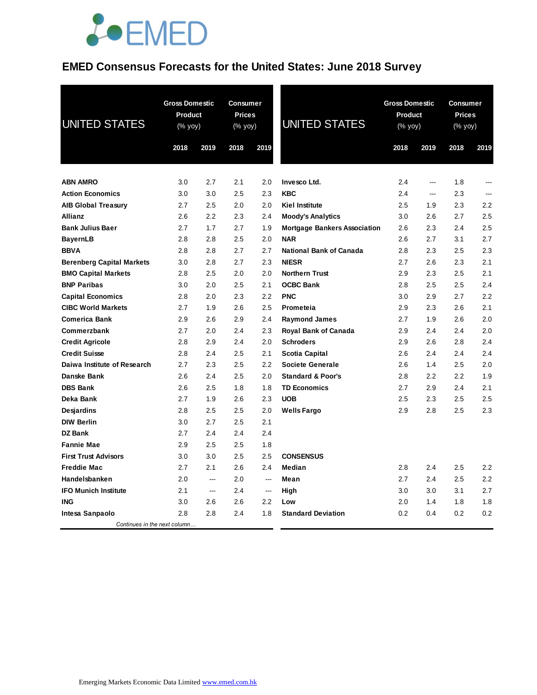## JOEMED

## **EMED Consensus Forecasts for the United States: June 2018 Survey**

| <b>UNITED STATES</b>             | <b>Gross Domestic</b><br>Product<br>(% yoy)<br>2018<br>2019 |        | <b>Consumer</b><br><b>Prices</b><br>(% yoy)<br>2018 | 2019           | <b>UNITED STATES</b>                | <b>Gross Domestic</b><br>Product<br>(% yoy)<br>2018 | 2019 | <b>Consumer</b><br><b>Prices</b><br>(% yoy)<br>2018 | 2019 |
|----------------------------------|-------------------------------------------------------------|--------|-----------------------------------------------------|----------------|-------------------------------------|-----------------------------------------------------|------|-----------------------------------------------------|------|
|                                  |                                                             |        |                                                     |                |                                     |                                                     |      |                                                     |      |
| <b>ABN AMRO</b>                  | 3.0                                                         | 2.7    | 2.1                                                 | 2.0            | Invesco Ltd.                        | 2.4                                                 | ---  | 1.8                                                 |      |
| <b>Action Economics</b>          | 3.0                                                         | 3.0    | 2.5                                                 | 2.3            | <b>KBC</b>                          | 2.4                                                 | ---  | 2.3                                                 | ---  |
| <b>AIB Global Treasury</b>       | 2.7                                                         | 2.5    | 2.0                                                 | 2.0            | <b>Kiel Institute</b>               | 2.5                                                 | 1.9  | 2.3                                                 | 2.2  |
| <b>Allianz</b>                   | 2.6                                                         | 2.2    | 2.3                                                 | 2.4            | <b>Moody's Analytics</b>            | 3.0                                                 | 2.6  | 2.7                                                 | 2.5  |
| <b>Bank Julius Baer</b>          | 2.7                                                         | 1.7    | 2.7                                                 | 1.9            | <b>Mortgage Bankers Association</b> | 2.6                                                 | 2.3  | 2.4                                                 | 2.5  |
| <b>BayernLB</b>                  | 2.8                                                         | 2.8    | 2.5                                                 | 2.0            | <b>NAR</b>                          | 2.6                                                 | 2.7  | 3.1                                                 | 2.7  |
| <b>BBVA</b>                      | 2.8                                                         | 2.8    | 2.7                                                 | 2.7            | <b>National Bank of Canada</b>      | 2.8                                                 | 2.3  | 2.5                                                 | 2.3  |
| <b>Berenberg Capital Markets</b> | 3.0                                                         | 2.8    | 2.7                                                 | 2.3            | <b>NIESR</b>                        | 2.7                                                 | 2.6  | 2.3                                                 | 2.1  |
| <b>BMO Capital Markets</b>       | 2.8                                                         | 2.5    | 2.0                                                 | 2.0            | <b>Northern Trust</b>               | 2.9                                                 | 2.3  | 2.5                                                 | 2.1  |
| <b>BNP Paribas</b>               | 3.0                                                         | 2.0    | 2.5                                                 | 2.1            | <b>OCBC Bank</b>                    | 2.8                                                 | 2.5  | 2.5                                                 | 2.4  |
| <b>Capital Economics</b>         | 2.8                                                         | 2.0    | 2.3                                                 | 2.2            | <b>PNC</b>                          | 3.0                                                 | 2.9  | 2.7                                                 | 2.2  |
| <b>CIBC World Markets</b>        | 2.7                                                         | 1.9    | 2.6                                                 | 2.5            | Prometeia                           | 2.9                                                 | 2.3  | 2.6                                                 | 2.1  |
| <b>Comerica Bank</b>             | 2.9                                                         | 2.6    | 2.9                                                 | 2.4            | <b>Raymond James</b>                | 2.7                                                 | 1.9  | 2.6                                                 | 2.0  |
| Commerzbank                      | 2.7                                                         | 2.0    | 2.4                                                 | 2.3            | Royal Bank of Canada                | 2.9                                                 | 2.4  | 2.4                                                 | 2.0  |
| <b>Credit Agricole</b>           | 2.8                                                         | 2.9    | 2.4                                                 | 2.0            | <b>Schroders</b>                    | 2.9                                                 | 2.6  | 2.8                                                 | 2.4  |
| <b>Credit Suisse</b>             | 2.8                                                         | 2.4    | 2.5                                                 | 2.1            | Scotia Capital                      | 2.6                                                 | 2.4  | 2.4                                                 | 2.4  |
| Daiwa Institute of Research      | 2.7                                                         | 2.3    | 2.5                                                 | 2.2            | <b>Societe Generale</b>             | 2.6                                                 | 1.4  | 2.5                                                 | 2.0  |
| Danske Bank                      | 2.6                                                         | 2.4    | 2.5                                                 | 2.0            | <b>Standard &amp; Poor's</b>        | 2.8                                                 | 2.2  | 2.2                                                 | 1.9  |
| <b>DBS Bank</b>                  | 2.6                                                         | 2.5    | 1.8                                                 | 1.8            | <b>TD Economics</b>                 | 2.7                                                 | 2.9  | 2.4                                                 | 2.1  |
| Deka Bank                        | 2.7                                                         | 1.9    | 2.6                                                 | 2.3            | <b>UOB</b>                          | 2.5                                                 | 2.3  | 2.5                                                 | 2.5  |
| <b>Desjardins</b>                | 2.8                                                         | 2.5    | 2.5                                                 | 2.0            | <b>Wells Fargo</b>                  | 2.9                                                 | 2.8  | 2.5                                                 | 2.3  |
| <b>DIW Berlin</b>                | 3.0                                                         | 2.7    | 2.5                                                 | 2.1            |                                     |                                                     |      |                                                     |      |
| DZ Bank                          | 2.7                                                         | 2.4    | 2.4                                                 | 2.4            |                                     |                                                     |      |                                                     |      |
| <b>Fannie Mae</b>                | 2.9                                                         | 2.5    | 2.5                                                 | 1.8            |                                     |                                                     |      |                                                     |      |
| <b>First Trust Advisors</b>      | 3.0                                                         | 3.0    | 2.5                                                 | 2.5            | <b>CONSENSUS</b>                    |                                                     |      |                                                     |      |
| <b>Freddie Mac</b>               | 2.7                                                         | 2.1    | 2.6                                                 | 2.4            | Median                              | 2.8                                                 | 2.4  | 2.5                                                 | 2.2  |
| Handelsbanken                    | 2.0                                                         | ---    | 2.0                                                 | $\overline{a}$ | Mean                                | 2.7                                                 | 2.4  | 2.5                                                 | 2.2  |
| <b>IFO Munich Institute</b>      | 2.1                                                         | $\sim$ | 2.4                                                 | ---            | High                                | 3.0                                                 | 3.0  | 3.1                                                 | 2.7  |
| <b>ING</b>                       | 3.0                                                         | 2.6    | 2.6                                                 | 2.2            | Low                                 | 2.0                                                 | 1.4  | 1.8                                                 | 1.8  |
| Intesa Sanpaolo                  | 2.8                                                         | 2.8    | 2.4                                                 | 1.8            | <b>Standard Deviation</b>           | 0.2                                                 | 0.4  | 0.2                                                 | 0.2  |
| Continues in the next column     |                                                             |        |                                                     |                |                                     |                                                     |      |                                                     |      |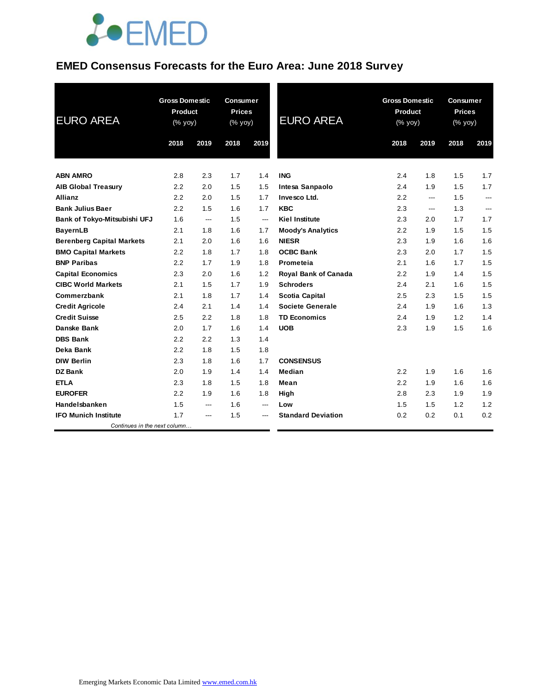

### **EMED Consensus Forecasts for the Euro Area: June 2018 Survey**

| <b>EURO AREA</b>                             | <b>Gross Domestic</b><br><b>Product</b><br>(% yoy) |      | <b>Consumer</b><br><b>Prices</b><br>(% yoy) |                | <b>EURO AREA</b>            | <b>Gross Domestic</b><br>Product<br>(% yoy) |      | <b>Consumer</b><br><b>Prices</b><br>(% yoy) |      |
|----------------------------------------------|----------------------------------------------------|------|---------------------------------------------|----------------|-----------------------------|---------------------------------------------|------|---------------------------------------------|------|
|                                              | 2018                                               | 2019 | 2018                                        | 2019           |                             | 2018                                        | 2019 | 2018                                        | 2019 |
| <b>ABN AMRO</b>                              | 2.8                                                | 2.3  | 1.7                                         | 1.4            | <b>ING</b>                  | 2.4                                         | 1.8  | 1.5                                         | 1.7  |
|                                              | 2.2                                                | 2.0  | 1.5                                         | 1.5            | Intesa Sanpaolo             | 2.4                                         | 1.9  | 1.5                                         | 1.7  |
| <b>AIB Global Treasury</b><br><b>Allianz</b> | 2.2                                                | 2.0  | 1.5                                         | 1.7            | Invesco Ltd.                | 2.2                                         | ---  | 1.5                                         | ---  |
| <b>Bank Julius Baer</b>                      | 2.2                                                | 1.5  | 1.6                                         | 1.7            | <b>KBC</b>                  | 2.3                                         | ---  | 1.3                                         | ---  |
| Bank of Tokyo-Mitsubishi UFJ                 | 1.6                                                | ---  | 1.5                                         | $\overline{a}$ | <b>Kiel Institute</b>       | 2.3                                         | 2.0  | 1.7                                         | 1.7  |
| <b>BayernLB</b>                              | 2.1                                                | 1.8  | 1.6                                         | 1.7            | <b>Moody's Analytics</b>    | 2.2                                         | 1.9  | 1.5                                         | 1.5  |
| <b>Berenberg Capital Markets</b>             | 2.1                                                | 2.0  | 1.6                                         | 1.6            | <b>NIESR</b>                | 2.3                                         | 1.9  | 1.6                                         | 1.6  |
| <b>BMO Capital Markets</b>                   | 2.2                                                | 1.8  | 1.7                                         | 1.8            | <b>OCBC Bank</b>            | 2.3                                         | 2.0  | 1.7                                         | 1.5  |
| <b>BNP Paribas</b>                           | 2.2                                                | 1.7  | 1.9                                         | 1.8            | Prometeia                   | 2.1                                         | 1.6  | 1.7                                         | 1.5  |
| <b>Capital Economics</b>                     | 2.3                                                | 2.0  | 1.6                                         | 1.2            | <b>Royal Bank of Canada</b> | 2.2                                         | 1.9  | 1.4                                         | 1.5  |
| <b>CIBC World Markets</b>                    | 2.1                                                | 1.5  | 1.7                                         | 1.9            | <b>Schroders</b>            | 2.4                                         | 2.1  | 1.6                                         | 1.5  |
| Commerzbank                                  | 2.1                                                | 1.8  | 1.7                                         | 1.4            | <b>Scotia Capital</b>       | 2.5                                         | 2.3  | 1.5                                         | 1.5  |
| <b>Credit Agricole</b>                       | 2.4                                                | 2.1  | 1.4                                         | 1.4            | <b>Societe Generale</b>     | 2.4                                         | 1.9  | 1.6                                         | 1.3  |
| <b>Credit Suisse</b>                         | 2.5                                                | 2.2  | 1.8                                         | 1.8            | <b>TD Economics</b>         | 2.4                                         | 1.9  | 1.2                                         | 1.4  |
| Danske Bank                                  | 2.0                                                | 1.7  | 1.6                                         | 1.4            | <b>UOB</b>                  | 2.3                                         | 1.9  | 1.5                                         | 1.6  |
| <b>DBS Bank</b>                              | 2.2                                                | 2.2  | 1.3                                         | 1.4            |                             |                                             |      |                                             |      |
| Deka Bank                                    | 2.2                                                | 1.8  | 1.5                                         | 1.8            |                             |                                             |      |                                             |      |
| <b>DIW Berlin</b>                            | 2.3                                                | 1.8  | 1.6                                         | 1.7            | <b>CONSENSUS</b>            |                                             |      |                                             |      |
| <b>DZ Bank</b>                               | 2.0                                                | 1.9  | 1.4                                         | 1.4            | Median                      | 2.2                                         | 1.9  | 1.6                                         | 1.6  |
| <b>ETLA</b>                                  | 2.3                                                | 1.8  | 1.5                                         | 1.8            | Mean                        | 2.2                                         | 1.9  | 1.6                                         | 1.6  |
| <b>EUROFER</b>                               | 2.2                                                | 1.9  | 1.6                                         | 1.8            | High                        | 2.8                                         | 2.3  | 1.9                                         | 1.9  |
| Handelsbanken                                | 1.5                                                | ---  | 1.6                                         | ---            | Low                         | 1.5                                         | 1.5  | 1.2                                         | 1.2  |
| <b>IFO Munich Institute</b>                  | 1.7                                                | ---  | 1.5                                         | ---            | <b>Standard Deviation</b>   | 0.2                                         | 0.2  | 0.1                                         | 0.2  |
| Continues in the next column                 |                                                    |      |                                             |                |                             |                                             |      |                                             |      |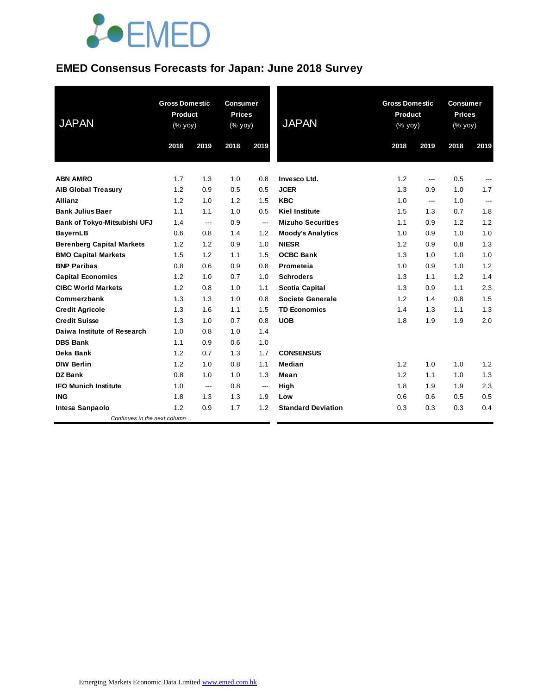# **JOEMED**

### **EMED Consensus Forecasts for Japan: June 2018 Survey**

| <b>JAPAN</b>                     | <b>Gross Domestic</b><br><b>Product</b><br>(% yoy) |      | <b>Consumer</b><br><b>Prices</b><br>(% yoy) |                          | <b>JAPAN</b>              | <b>Gross Domestic</b><br>Product<br>(% yoy) |      | <b>Consumer</b><br><b>Prices</b><br>(% yoy) |                |
|----------------------------------|----------------------------------------------------|------|---------------------------------------------|--------------------------|---------------------------|---------------------------------------------|------|---------------------------------------------|----------------|
|                                  | 2018                                               | 2019 | 2018                                        | 2019                     |                           | 2018                                        | 2019 | 2018                                        | 2019           |
| <b>ABN AMRO</b>                  | 1.7                                                | 1.3  | 1.0                                         | 0.8                      | Invesco Ltd.              | 1.2                                         | ---  | 0.5                                         | ---            |
| <b>AIB Global Treasury</b>       | 1.2                                                | 0.9  | 0.5                                         | 0.5                      | <b>JCER</b>               | 1.3                                         | 0.9  | 1.0                                         | 1.7            |
| <b>Allianz</b>                   | 1.2                                                | 1.0  | 1.2                                         | 1.5                      | <b>KBC</b>                | 1.0                                         | ---  | 1.0                                         | $\overline{a}$ |
| <b>Bank Julius Baer</b>          | 1.1                                                | 1.1  | 1.0                                         | 0.5                      | <b>Kiel Institute</b>     | 1.5                                         | 1.3  | 0.7                                         | 1.8            |
| Bank of Tokyo-Mitsubishi UFJ     | 1.4                                                | ---  | 0.9                                         | $\overline{\phantom{a}}$ | <b>Mizuho Securities</b>  | 1.1                                         | 0.9  | 1.2                                         | 1.2            |
| <b>BayernLB</b>                  | 0.6                                                | 0.8  | 1.4                                         | 1.2                      | <b>Moody's Analytics</b>  | 1.0                                         | 0.9  | 1.0                                         | 1.0            |
| <b>Berenberg Capital Markets</b> | 1.2                                                | 1.2  | 0.9                                         | 1.0                      | <b>NIESR</b>              | 1.2                                         | 0.9  | 0.8                                         | 1.3            |
| <b>BMO Capital Markets</b>       | 1.5                                                | 1.2  | 1.1                                         | 1.5                      | <b>OCBC Bank</b>          | 1.3                                         | 1.0  | 1.0                                         | 1.0            |
| <b>BNP Paribas</b>               | 0.8                                                | 0.6  | 0.9                                         | 0.8                      | Prometeia                 | 1.0                                         | 0.9  | 1.0                                         | 1.2            |
| <b>Capital Economics</b>         | 1.2                                                | 1.0  | 0.7                                         | 1.0                      | <b>Schroders</b>          | 1.3                                         | 1.1  | 1.2                                         | 1.4            |
| <b>CIBC World Markets</b>        | 1.2                                                | 0.8  | 1.0                                         | 1.1                      | <b>Scotia Capital</b>     | 1.3                                         | 0.9  | 1.1                                         | 2.3            |
| Commerzbank                      | 1.3                                                | 1.3  | 1.0                                         | 0.8                      | <b>Societe Generale</b>   | 1.2                                         | 1.4  | 0.8                                         | 1.5            |
| <b>Credit Agricole</b>           | 1.3                                                | 1.6  | 1.1                                         | 1.5                      | <b>TD Economics</b>       | 1.4                                         | 1.3  | 1.1                                         | 1.3            |
| <b>Credit Suisse</b>             | 1.3                                                | 1.0  | 0.7                                         | 0.8                      | <b>UOB</b>                | 1.8                                         | 1.9  | 1.9                                         | 2.0            |
| Daiwa Institute of Research      | 1.0                                                | 0.8  | 1.0                                         | 1.4                      |                           |                                             |      |                                             |                |
| <b>DBS Bank</b>                  | 1.1                                                | 0.9  | 0.6                                         | 1.0                      |                           |                                             |      |                                             |                |
| Deka Bank                        | 1.2                                                | 0.7  | 1.3                                         | 1.7                      | <b>CONSENSUS</b>          |                                             |      |                                             |                |
| <b>DIW Berlin</b>                | 1.2                                                | 1.0  | 0.8                                         | 1.1                      | Median                    | 1.2                                         | 1.0  | 1.0                                         | 1.2            |
| <b>DZ Bank</b>                   | 0.8                                                | 1.0  | 1.0                                         | 1.3                      | Mean                      | 1.2                                         | 1.1  | 1.0                                         | 1.3            |
| <b>IFO Munich Institute</b>      | 1.0                                                | ---  | 0.8                                         | ---                      | High                      | 1.8                                         | 1.9  | 1.9                                         | 2.3            |
| <b>ING</b>                       | 1.8                                                | 1.3  | 1.3                                         | 1.9                      | Low                       | 0.6                                         | 0.6  | 0.5                                         | 0.5            |
| Intesa Sanpaolo                  | 1.2                                                | 0.9  | 1.7                                         | 1.2                      | <b>Standard Deviation</b> | 0.3                                         | 0.3  | 0.3                                         | 0.4            |
| Continues in the next column     |                                                    |      |                                             |                          |                           |                                             |      |                                             |                |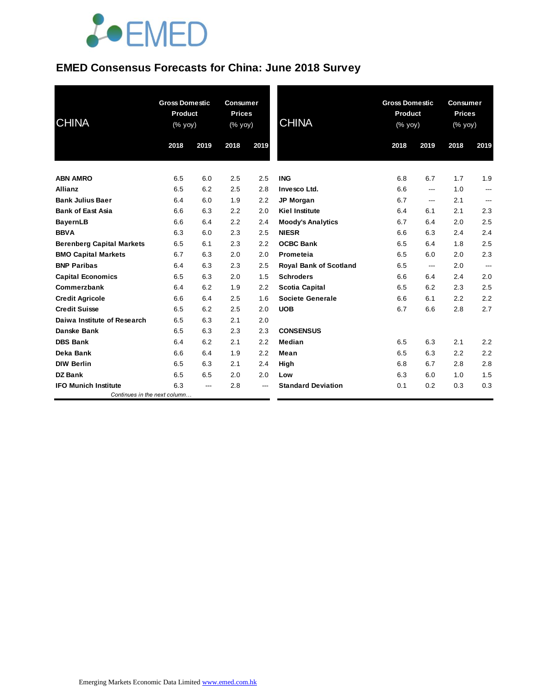# **JOEMED**

### **EMED Consensus Forecasts for China: June 2018 Survey**

| <b>CHINA</b>                     | <b>Gross Domestic</b><br><b>Product</b><br>(% yoy) |      | <b>Consumer</b><br><b>Prices</b><br>(% yoy) |      | <b>CHINA</b>                  | <b>Gross Domestic</b><br>Product<br>(% yoy) |      | <b>Consumer</b><br><b>Prices</b><br>(% yoy) |      |
|----------------------------------|----------------------------------------------------|------|---------------------------------------------|------|-------------------------------|---------------------------------------------|------|---------------------------------------------|------|
|                                  | 2018                                               | 2019 | 2018                                        | 2019 |                               | 2018                                        | 2019 | 2018                                        | 2019 |
| <b>ABN AMRO</b>                  | 6.5                                                | 6.0  | 2.5                                         | 2.5  | <b>ING</b>                    | 6.8                                         | 6.7  | 1.7                                         | 1.9  |
| <b>Allianz</b>                   | 6.5                                                | 6.2  | 2.5                                         | 2.8  | Invesco Ltd.                  | 6.6                                         | ---  | 1.0                                         | ---  |
| <b>Bank Julius Baer</b>          | 6.4                                                | 6.0  | 1.9                                         | 2.2  | <b>JP Morgan</b>              | 6.7                                         | ---  | 2.1                                         | ---  |
| <b>Bank of East Asia</b>         | 6.6                                                | 6.3  | 2.2                                         | 2.0  | <b>Kiel Institute</b>         | 6.4                                         | 6.1  | 2.1                                         | 2.3  |
| <b>BayernLB</b>                  | 6.6                                                | 6.4  | 2.2                                         | 2.4  | <b>Moody's Analytics</b>      | 6.7                                         | 6.4  | 2.0                                         | 2.5  |
| <b>BBVA</b>                      | 6.3                                                | 6.0  | 2.3                                         | 2.5  | <b>NIESR</b>                  | 6.6                                         | 6.3  | 2.4                                         | 2.4  |
| <b>Berenberg Capital Markets</b> | 6.5                                                | 6.1  | 2.3                                         | 2.2  | <b>OCBC Bank</b>              | 6.5                                         | 6.4  | 1.8                                         | 2.5  |
| <b>BMO Capital Markets</b>       | 6.7                                                | 6.3  | 2.0                                         | 2.0  | Prometeia                     | 6.5                                         | 6.0  | 2.0                                         | 2.3  |
| <b>BNP Paribas</b>               | 6.4                                                | 6.3  | 2.3                                         | 2.5  | <b>Royal Bank of Scotland</b> | 6.5                                         | ---  | 2.0                                         | ---  |
| <b>Capital Economics</b>         | 6.5                                                | 6.3  | 2.0                                         | 1.5  | <b>Schroders</b>              | 6.6                                         | 6.4  | 2.4                                         | 2.0  |
| Commerzbank                      | 6.4                                                | 6.2  | 1.9                                         | 2.2  | <b>Scotia Capital</b>         | 6.5                                         | 6.2  | 2.3                                         | 2.5  |
| <b>Credit Agricole</b>           | 6.6                                                | 6.4  | 2.5                                         | 1.6  | <b>Societe Generale</b>       | 6.6                                         | 6.1  | 2.2                                         | 2.2  |
| <b>Credit Suisse</b>             | 6.5                                                | 6.2  | 2.5                                         | 2.0  | <b>UOB</b>                    | 6.7                                         | 6.6  | 2.8                                         | 2.7  |
| Daiwa Institute of Research      | 6.5                                                | 6.3  | 2.1                                         | 2.0  |                               |                                             |      |                                             |      |
| <b>Danske Bank</b>               | 6.5                                                | 6.3  | 2.3                                         | 2.3  | <b>CONSENSUS</b>              |                                             |      |                                             |      |
| <b>DBS Bank</b>                  | 6.4                                                | 6.2  | 2.1                                         | 2.2  | Median                        | 6.5                                         | 6.3  | 2.1                                         | 2.2  |
| Deka Bank                        | 6.6                                                | 6.4  | 1.9                                         | 2.2  | Mean                          | 6.5                                         | 6.3  | 2.2                                         | 2.2  |
| <b>DIW Berlin</b>                | 6.5                                                | 6.3  | 2.1                                         | 2.4  | High                          | 6.8                                         | 6.7  | 2.8                                         | 2.8  |
| <b>DZ Bank</b>                   | 6.5                                                | 6.5  | 2.0                                         | 2.0  | Low                           | 6.3                                         | 6.0  | 1.0                                         | 1.5  |
| <b>IFO Munich Institute</b>      | 6.3                                                | ---  | 2.8                                         | ---  | <b>Standard Deviation</b>     | 0.1                                         | 0.2  | 0.3                                         | 0.3  |
| Continues in the next column     |                                                    |      |                                             |      |                               |                                             |      |                                             |      |